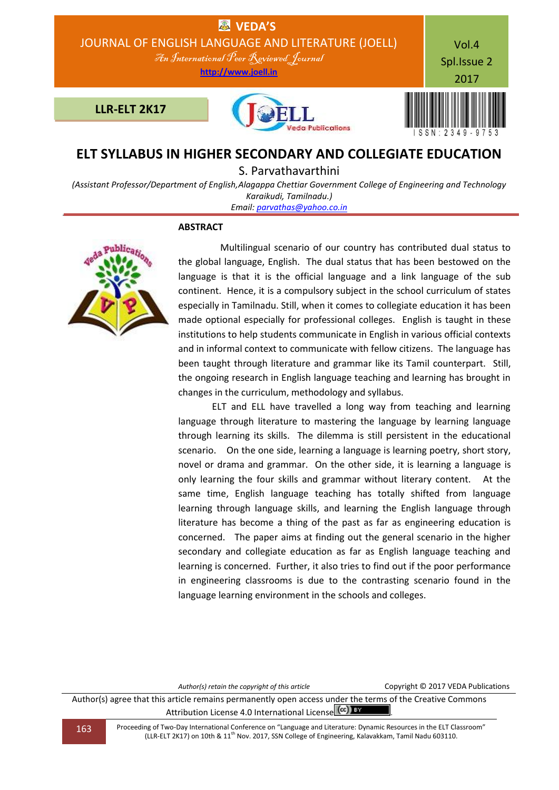

# **ELT SYLLABUS IN HIGHER SECONDARY AND COLLEGIATE EDUCATION**

S. Parvathavarthini

*(Assistant Professor/Department of English,Alagappa Chettiar Government College of Engineering and Technology Karaikudi, Tamilnadu.)*

*Email[: parvathas@yahoo.co.in](mailto:parvathas@yahoo.co.in)*

# **ABSTRACT**



 Multilingual scenario of our country has contributed dual status to the global language, English. The dual status that has been bestowed on the language is that it is the official language and a link language of the sub continent. Hence, it is a compulsory subject in the school curriculum of states especially in Tamilnadu. Still, when it comes to collegiate education it has been made optional especially for professional colleges. English is taught in these institutions to help students communicate in English in various official contexts and in informal context to communicate with fellow citizens. The language has been taught through literature and grammar like its Tamil counterpart. Still, the ongoing research in English language teaching and learning has brought in changes in the curriculum, methodology and syllabus.

ELT and ELL have travelled a long way from teaching and learning language through literature to mastering the language by learning language through learning its skills. The dilemma is still persistent in the educational scenario. On the one side, learning a language is learning poetry, short story, novel or drama and grammar. On the other side, it is learning a language is only learning the four skills and grammar without literary content. At the same time, English language teaching has totally shifted from language learning through language skills, and learning the English language through literature has become a thing of the past as far as engineering education is concerned. The paper aims at finding out the general scenario in the higher secondary and collegiate education as far as English language teaching and learning is concerned. Further, it also tries to find out if the poor performance in engineering classrooms is due to the contrasting scenario found in the language learning environment in the schools and colleges.

*Author(s) retain the copyright of this article* Copyright © 2017 VEDA Publications

Author(s) agree that this article remains permanently open access under the terms of the Creative Commons Attribution License 4.0 International License  $\left(\text{cc}\right)$  BY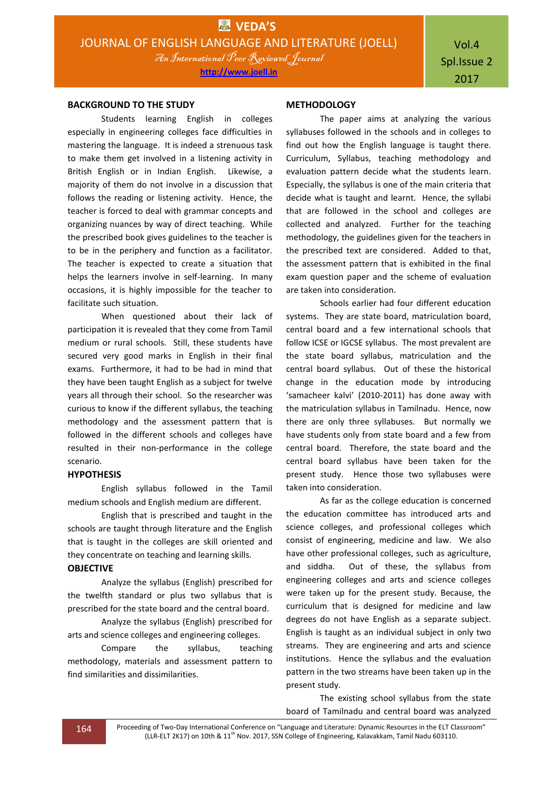Vol.4 Spl.Issue 2 2017

## **BACKGROUND TO THE STUDY**

Students learning English in colleges especially in engineering colleges face difficulties in mastering the language. It is indeed a strenuous task to make them get involved in a listening activity in British English or in Indian English. Likewise, a majority of them do not involve in a discussion that follows the reading or listening activity. Hence, the teacher is forced to deal with grammar concepts and organizing nuances by way of direct teaching. While the prescribed book gives guidelines to the teacher is to be in the periphery and function as a facilitator. The teacher is expected to create a situation that helps the learners involve in self-learning. In many occasions, it is highly impossible for the teacher to facilitate such situation.

When questioned about their lack of participation it is revealed that they come from Tamil medium or rural schools. Still, these students have secured very good marks in English in their final exams. Furthermore, it had to be had in mind that they have been taught English as a subject for twelve years all through their school. So the researcher was curious to know if the different syllabus, the teaching methodology and the assessment pattern that is followed in the different schools and colleges have resulted in their non-performance in the college scenario.

## **HYPOTHESIS**

English syllabus followed in the Tamil medium schools and English medium are different.

English that is prescribed and taught in the schools are taught through literature and the English that is taught in the colleges are skill oriented and they concentrate on teaching and learning skills.

#### **OBJECTIVE**

Analyze the syllabus (English) prescribed for the twelfth standard or plus two syllabus that is prescribed for the state board and the central board.

Analyze the syllabus (English) prescribed for arts and science colleges and engineering colleges.

Compare the syllabus, teaching methodology, materials and assessment pattern to find similarities and dissimilarities.

#### **METHODOLOGY**

The paper aims at analyzing the various syllabuses followed in the schools and in colleges to find out how the English language is taught there. Curriculum, Syllabus, teaching methodology and evaluation pattern decide what the students learn. Especially, the syllabus is one of the main criteria that decide what is taught and learnt. Hence, the syllabi that are followed in the school and colleges are collected and analyzed. Further for the teaching methodology, the guidelines given for the teachers in the prescribed text are considered. Added to that, the assessment pattern that is exhibited in the final exam question paper and the scheme of evaluation are taken into consideration.

Schools earlier had four different education systems. They are state board, matriculation board, central board and a few international schools that follow ICSE or IGCSE syllabus. The most prevalent are the state board syllabus, matriculation and the central board syllabus. Out of these the historical change in the education mode by introducing 'samacheer kalvi' (2010-2011) has done away with the matriculation syllabus in Tamilnadu. Hence, now there are only three syllabuses. But normally we have students only from state board and a few from central board. Therefore, the state board and the central board syllabus have been taken for the present study. Hence those two syllabuses were taken into consideration.

As far as the college education is concerned the education committee has introduced arts and science colleges, and professional colleges which consist of engineering, medicine and law. We also have other professional colleges, such as agriculture, and siddha. Out of these, the syllabus from engineering colleges and arts and science colleges were taken up for the present study. Because, the curriculum that is designed for medicine and law degrees do not have English as a separate subject. English is taught as an individual subject in only two streams. They are engineering and arts and science institutions. Hence the syllabus and the evaluation pattern in the two streams have been taken up in the present study.

The existing school syllabus from the state board of Tamilnadu and central board was analyzed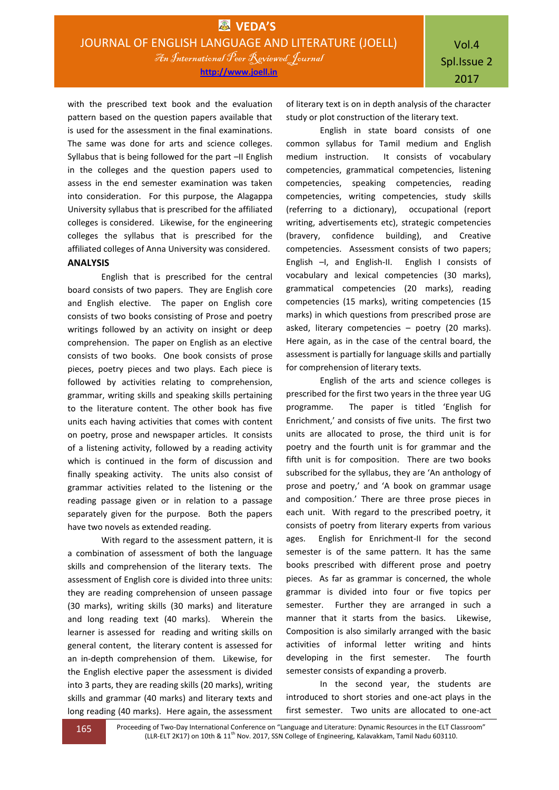with the prescribed text book and the evaluation pattern based on the question papers available that is used for the assessment in the final examinations. The same was done for arts and science colleges. Syllabus that is being followed for the part –II English in the colleges and the question papers used to assess in the end semester examination was taken into consideration. For this purpose, the Alagappa University syllabus that is prescribed for the affiliated colleges is considered. Likewise, for the engineering colleges the syllabus that is prescribed for the affiliated colleges of Anna University was considered.

# **ANALYSIS**

English that is prescribed for the central board consists of two papers. They are English core and English elective. The paper on English core consists of two books consisting of Prose and poetry writings followed by an activity on insight or deep comprehension. The paper on English as an elective consists of two books. One book consists of prose pieces, poetry pieces and two plays. Each piece is followed by activities relating to comprehension, grammar, writing skills and speaking skills pertaining to the literature content. The other book has five units each having activities that comes with content on poetry, prose and newspaper articles. It consists of a listening activity, followed by a reading activity which is continued in the form of discussion and finally speaking activity. The units also consist of grammar activities related to the listening or the reading passage given or in relation to a passage separately given for the purpose. Both the papers have two novels as extended reading.

With regard to the assessment pattern, it is a combination of assessment of both the language skills and comprehension of the literary texts. The assessment of English core is divided into three units: they are reading comprehension of unseen passage (30 marks), writing skills (30 marks) and literature and long reading text (40 marks). Wherein the learner is assessed for reading and writing skills on general content, the literary content is assessed for an in-depth comprehension of them. Likewise, for the English elective paper the assessment is divided into 3 parts, they are reading skills (20 marks), writing skills and grammar (40 marks) and literary texts and long reading (40 marks). Here again, the assessment

of literary text is on in depth analysis of the character study or plot construction of the literary text.

English in state board consists of one common syllabus for Tamil medium and English medium instruction. It consists of vocabulary competencies, grammatical competencies, listening competencies, speaking competencies, reading competencies, writing competencies, study skills (referring to a dictionary), occupational (report writing, advertisements etc), strategic competencies (bravery, confidence building), and Creative competencies. Assessment consists of two papers; English –I, and English-II. English I consists of vocabulary and lexical competencies (30 marks), grammatical competencies (20 marks), reading competencies (15 marks), writing competencies (15 marks) in which questions from prescribed prose are asked, literary competencies – poetry (20 marks). Here again, as in the case of the central board, the assessment is partially for language skills and partially for comprehension of literary texts.

English of the arts and science colleges is prescribed for the first two years in the three year UG programme. The paper is titled 'English for Enrichment,' and consists of five units. The first two units are allocated to prose, the third unit is for poetry and the fourth unit is for grammar and the fifth unit is for composition. There are two books subscribed for the syllabus, they are 'An anthology of prose and poetry,' and 'A book on grammar usage and composition.' There are three prose pieces in each unit. With regard to the prescribed poetry, it consists of poetry from literary experts from various ages. English for Enrichment-II for the second semester is of the same pattern. It has the same books prescribed with different prose and poetry pieces. As far as grammar is concerned, the whole grammar is divided into four or five topics per semester. Further they are arranged in such a manner that it starts from the basics. Likewise, Composition is also similarly arranged with the basic activities of informal letter writing and hints developing in the first semester. The fourth semester consists of expanding a proverb.

In the second year, the students are introduced to short stories and one-act plays in the first semester. Two units are allocated to one-act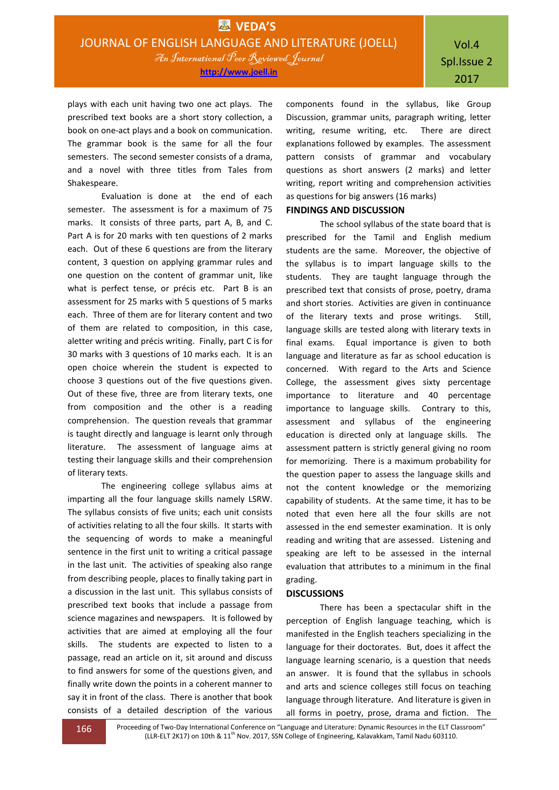plays with each unit having two one act plays. The prescribed text books are a short story collection, a book on one-act plays and a book on communication. The grammar book is the same for all the four semesters. The second semester consists of a drama, and a novel with three titles from Tales from Shakespeare.

Evaluation is done at the end of each semester. The assessment is for a maximum of 75 marks. It consists of three parts, part A, B, and C. Part A is for 20 marks with ten questions of 2 marks each. Out of these 6 questions are from the literary content, 3 question on applying grammar rules and one question on the content of grammar unit, like what is perfect tense, or précis etc. Part B is an assessment for 25 marks with 5 questions of 5 marks each. Three of them are for literary content and two of them are related to composition, in this case, aletter writing and précis writing. Finally, part C is for 30 marks with 3 questions of 10 marks each. It is an open choice wherein the student is expected to choose 3 questions out of the five questions given. Out of these five, three are from literary texts, one from composition and the other is a reading comprehension. The question reveals that grammar is taught directly and language is learnt only through literature. The assessment of language aims at testing their language skills and their comprehension of literary texts.

The engineering college syllabus aims at imparting all the four language skills namely LSRW. The syllabus consists of five units; each unit consists of activities relating to all the four skills. It starts with the sequencing of words to make a meaningful sentence in the first unit to writing a critical passage in the last unit. The activities of speaking also range from describing people, places to finally taking part in a discussion in the last unit. This syllabus consists of prescribed text books that include a passage from science magazines and newspapers. It is followed by activities that are aimed at employing all the four skills. The students are expected to listen to a passage, read an article on it, sit around and discuss to find answers for some of the questions given, and finally write down the points in a coherent manner to say it in front of the class. There is another that book consists of a detailed description of the various

components found in the syllabus, like Group Discussion, grammar units, paragraph writing, letter writing, resume writing, etc. There are direct explanations followed by examples. The assessment pattern consists of grammar and vocabulary questions as short answers (2 marks) and letter writing, report writing and comprehension activities as questions for big answers (16 marks)

# **FINDINGS AND DISCUSSION**

The school syllabus of the state board that is prescribed for the Tamil and English medium students are the same. Moreover, the objective of the syllabus is to impart language skills to the students. They are taught language through the prescribed text that consists of prose, poetry, drama and short stories. Activities are given in continuance of the literary texts and prose writings. Still, language skills are tested along with literary texts in final exams. Equal importance is given to both language and literature as far as school education is concerned. With regard to the Arts and Science College, the assessment gives sixty percentage importance to literature and 40 percentage importance to language skills. Contrary to this, assessment and syllabus of the engineering education is directed only at language skills. The assessment pattern is strictly general giving no room for memorizing. There is a maximum probability for the question paper to assess the language skills and not the content knowledge or the memorizing capability of students. At the same time, it has to be noted that even here all the four skills are not assessed in the end semester examination. It is only reading and writing that are assessed. Listening and speaking are left to be assessed in the internal evaluation that attributes to a minimum in the final grading.

# **DISCUSSIONS**

There has been a spectacular shift in the perception of English language teaching, which is manifested in the English teachers specializing in the language for their doctorates. But, does it affect the language learning scenario, is a question that needs an answer. It is found that the syllabus in schools and arts and science colleges still focus on teaching language through literature. And literature is given in all forms in poetry, prose, drama and fiction. The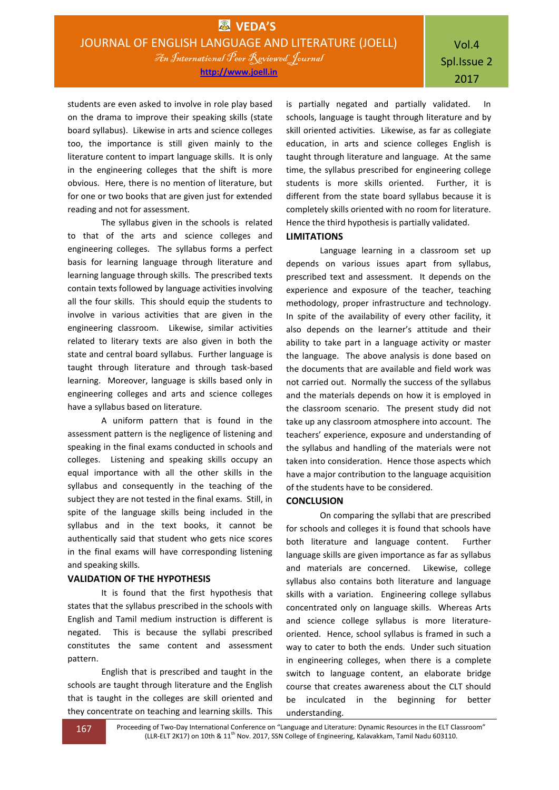students are even asked to involve in role play based on the drama to improve their speaking skills (state board syllabus). Likewise in arts and science colleges too, the importance is still given mainly to the literature content to impart language skills. It is only in the engineering colleges that the shift is more obvious. Here, there is no mention of literature, but for one or two books that are given just for extended reading and not for assessment.

The syllabus given in the schools is related to that of the arts and science colleges and engineering colleges. The syllabus forms a perfect basis for learning language through literature and learning language through skills. The prescribed texts contain texts followed by language activities involving all the four skills. This should equip the students to involve in various activities that are given in the engineering classroom. Likewise, similar activities related to literary texts are also given in both the state and central board syllabus. Further language is taught through literature and through task-based learning. Moreover, language is skills based only in engineering colleges and arts and science colleges have a syllabus based on literature.

A uniform pattern that is found in the assessment pattern is the negligence of listening and speaking in the final exams conducted in schools and colleges. Listening and speaking skills occupy an equal importance with all the other skills in the syllabus and consequently in the teaching of the subject they are not tested in the final exams. Still, in spite of the language skills being included in the syllabus and in the text books, it cannot be authentically said that student who gets nice scores in the final exams will have corresponding listening and speaking skills.

# **VALIDATION OF THE HYPOTHESIS**

It is found that the first hypothesis that states that the syllabus prescribed in the schools with English and Tamil medium instruction is different is negated. This is because the syllabi prescribed constitutes the same content and assessment pattern.

English that is prescribed and taught in the schools are taught through literature and the English that is taught in the colleges are skill oriented and they concentrate on teaching and learning skills. This

is partially negated and partially validated. In schools, language is taught through literature and by skill oriented activities. Likewise, as far as collegiate education, in arts and science colleges English is taught through literature and language. At the same time, the syllabus prescribed for engineering college students is more skills oriented. Further, it is different from the state board syllabus because it is completely skills oriented with no room for literature. Hence the third hypothesis is partially validated.

## **LIMITATIONS**

Language learning in a classroom set up depends on various issues apart from syllabus, prescribed text and assessment. It depends on the experience and exposure of the teacher, teaching methodology, proper infrastructure and technology. In spite of the availability of every other facility, it also depends on the learner's attitude and their ability to take part in a language activity or master the language. The above analysis is done based on the documents that are available and field work was not carried out. Normally the success of the syllabus and the materials depends on how it is employed in the classroom scenario. The present study did not take up any classroom atmosphere into account. The teachers' experience, exposure and understanding of the syllabus and handling of the materials were not taken into consideration. Hence those aspects which have a major contribution to the language acquisition of the students have to be considered.

# **CONCLUSION**

On comparing the syllabi that are prescribed for schools and colleges it is found that schools have both literature and language content. Further language skills are given importance as far as syllabus and materials are concerned. Likewise, college syllabus also contains both literature and language skills with a variation. Engineering college syllabus concentrated only on language skills. Whereas Arts and science college syllabus is more literatureoriented. Hence, school syllabus is framed in such a way to cater to both the ends. Under such situation in engineering colleges, when there is a complete switch to language content, an elaborate bridge course that creates awareness about the CLT should be inculcated in the beginning for better understanding.